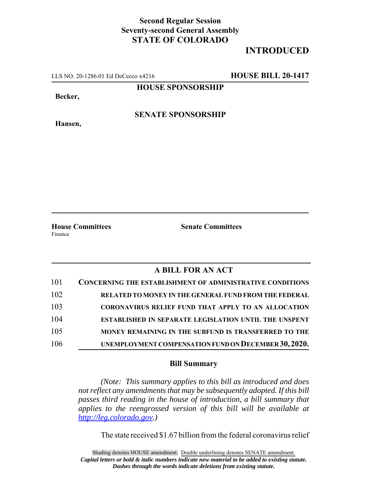## **Second Regular Session Seventy-second General Assembly STATE OF COLORADO**

## **INTRODUCED**

LLS NO. 20-1286.01 Ed DeCecco x4216 **HOUSE BILL 20-1417**

**HOUSE SPONSORSHIP**

**Becker,**

**Hansen,**

**SENATE SPONSORSHIP**

Finance

**House Committees Senate Committees**

## **A BILL FOR AN ACT**

| 101 | <b>CONCERNING THE ESTABLISHMENT OF ADMINISTRATIVE CONDITIONS</b> |
|-----|------------------------------------------------------------------|
| 102 | RELATED TO MONEY IN THE GENERAL FUND FROM THE FEDERAL            |
| 103 | CORONAVIRUS RELIEF FUND THAT APPLY TO AN ALLOCATION              |
| 104 | <b>ESTABLISHED IN SEPARATE LEGISLATION UNTIL THE UNSPENT</b>     |
| 105 | MONEY REMAINING IN THE SUBFUND IS TRANSFERRED TO THE             |
| 106 | UNEMPLOYMENT COMPENSATION FUND ON DECEMBER 30, 2020.             |

## **Bill Summary**

*(Note: This summary applies to this bill as introduced and does not reflect any amendments that may be subsequently adopted. If this bill passes third reading in the house of introduction, a bill summary that applies to the reengrossed version of this bill will be available at http://leg.colorado.gov.)*

The state received \$1.67 billion from the federal coronavirus relief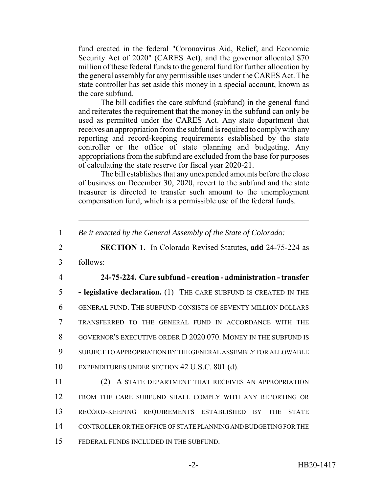fund created in the federal "Coronavirus Aid, Relief, and Economic Security Act of 2020" (CARES Act), and the governor allocated \$70 million of these federal funds to the general fund for further allocation by the general assembly for any permissible uses under the CARES Act. The state controller has set aside this money in a special account, known as the care subfund.

The bill codifies the care subfund (subfund) in the general fund and reiterates the requirement that the money in the subfund can only be used as permitted under the CARES Act. Any state department that receives an appropriation from the subfund is required to comply with any reporting and record-keeping requirements established by the state controller or the office of state planning and budgeting. Any appropriations from the subfund are excluded from the base for purposes of calculating the state reserve for fiscal year 2020-21.

The bill establishes that any unexpended amounts before the close of business on December 30, 2020, revert to the subfund and the state treasurer is directed to transfer such amount to the unemployment compensation fund, which is a permissible use of the federal funds.

1 *Be it enacted by the General Assembly of the State of Colorado:*

2 **SECTION 1.** In Colorado Revised Statutes, **add** 24-75-224 as

3 follows:

4 **24-75-224. Care subfund - creation - administration - transfer**

 **- legislative declaration.** (1) THE CARE SUBFUND IS CREATED IN THE GENERAL FUND. THE SUBFUND CONSISTS OF SEVENTY MILLION DOLLARS TRANSFERRED TO THE GENERAL FUND IN ACCORDANCE WITH THE GOVERNOR'S EXECUTIVE ORDER D 2020 070. MONEY IN THE SUBFUND IS SUBJECT TO APPROPRIATION BY THE GENERAL ASSEMBLY FOR ALLOWABLE EXPENDITURES UNDER SECTION 42 U.S.C. 801 (d).

 (2) A STATE DEPARTMENT THAT RECEIVES AN APPROPRIATION FROM THE CARE SUBFUND SHALL COMPLY WITH ANY REPORTING OR RECORD-KEEPING REQUIREMENTS ESTABLISHED BY THE STATE CONTROLLER OR THE OFFICE OF STATE PLANNING AND BUDGETING FOR THE FEDERAL FUNDS INCLUDED IN THE SUBFUND.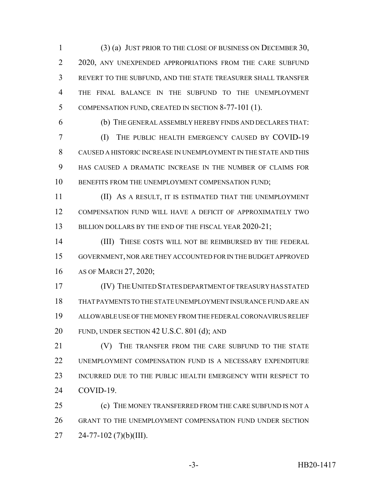(3) (a) JUST PRIOR TO THE CLOSE OF BUSINESS ON DECEMBER 30, 2 2020, ANY UNEXPENDED APPROPRIATIONS FROM THE CARE SUBFUND REVERT TO THE SUBFUND, AND THE STATE TREASURER SHALL TRANSFER THE FINAL BALANCE IN THE SUBFUND TO THE UNEMPLOYMENT COMPENSATION FUND, CREATED IN SECTION 8-77-101 (1).

(b) THE GENERAL ASSEMBLY HEREBY FINDS AND DECLARES THAT:

 (I) THE PUBLIC HEALTH EMERGENCY CAUSED BY COVID-19 CAUSED A HISTORIC INCREASE IN UNEMPLOYMENT IN THE STATE AND THIS HAS CAUSED A DRAMATIC INCREASE IN THE NUMBER OF CLAIMS FOR 10 BENEFITS FROM THE UNEMPLOYMENT COMPENSATION FUND;

 (II) AS A RESULT, IT IS ESTIMATED THAT THE UNEMPLOYMENT COMPENSATION FUND WILL HAVE A DEFICIT OF APPROXIMATELY TWO 13 BILLION DOLLARS BY THE END OF THE FISCAL YEAR 2020-21;

14 (III) THESE COSTS WILL NOT BE REIMBURSED BY THE FEDERAL GOVERNMENT, NOR ARE THEY ACCOUNTED FOR IN THE BUDGET APPROVED AS OF MARCH 27, 2020;

 (IV) THE UNITED STATES DEPARTMENT OF TREASURY HAS STATED THAT PAYMENTS TO THE STATE UNEMPLOYMENT INSURANCE FUND ARE AN ALLOWABLE USE OF THE MONEY FROM THE FEDERAL CORONAVIRUS RELIEF FUND, UNDER SECTION 42 U.S.C. 801 (d); AND

**(V)** THE TRANSFER FROM THE CARE SUBFUND TO THE STATE UNEMPLOYMENT COMPENSATION FUND IS A NECESSARY EXPENDITURE INCURRED DUE TO THE PUBLIC HEALTH EMERGENCY WITH RESPECT TO COVID-19.

 (c) THE MONEY TRANSFERRED FROM THE CARE SUBFUND IS NOT A GRANT TO THE UNEMPLOYMENT COMPENSATION FUND UNDER SECTION  $27 \qquad 24-77-102 \qquad (7)(b)(III).$